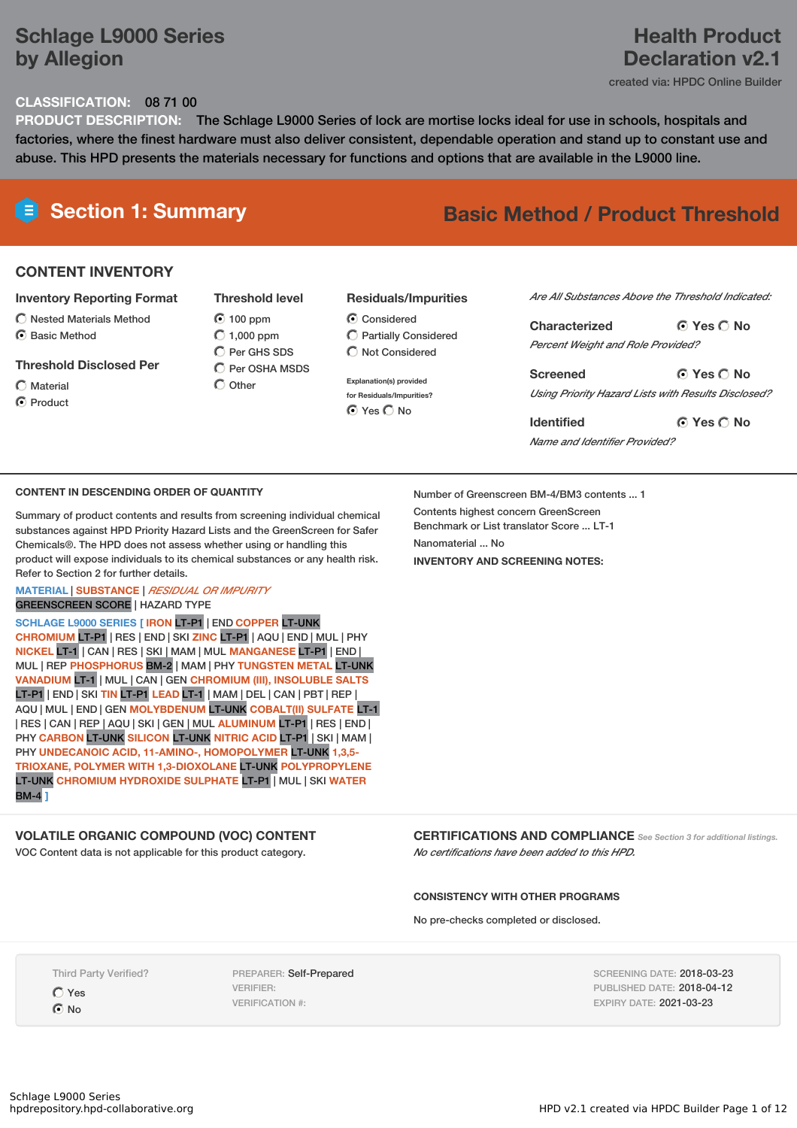# **Schlage L9000 Series by Allegion**

## **Health Product Declaration v2.1**

created via: HPDC Online Builder

### **CLASSIFICATION:** 08 71 00

**PRODUCT DESCRIPTION:** The Schlage L9000 Series of lock are mortise locks ideal for use in schools, hospitals and factories, where the finest hardware must also deliver consistent, dependable operation and stand up to constant use and abuse. This HPD presents the materials necessary for functions and options that are available in the L9000 line.

### **CONTENT INVENTORY**

### **Inventory Reporting Format**

- $\bigcirc$  Nested Materials Method
- C Rasic Method

### **Threshold Disclosed Per**

Material **O** Product  $\odot$  100 ppm  $O$  1,000 ppm C Per GHS SDS C Per OSHA MSDS  $\bigcap$  Other

**Threshold level**

### **Residuals/Impurities**

C Considered Partially Considered  $\bigcap$  Not Considered

**Explanation(s) provided for Residuals/Impurities? O** Yes O No

### *Are All Substances Above the Threshold Indicated:*

**Yes No Characterized** *Percent Weight and Role Provided?*

**Yes No Screened** *Using Priority Hazard Lists with Results Disclosed?*

**Yes No Identified** *Name and Identifier Provided?*

### **CONTENT IN DESCENDING ORDER OF QUANTITY**

Summary of product contents and results from screening individual chemical substances against HPD Priority Hazard Lists and the GreenScreen for Safer Chemicals®. The HPD does not assess whether using or handling this product will expose individuals to its chemical substances or any health risk. Refer to Section 2 for further details.

### **MATERIAL** | **SUBSTANCE** | *RESIDUAL OR IMPURITY* GREENSCREEN SCORE | HAZARD TYPE

**SCHLAGE L9000 SERIES [ IRON** LT-P1 | END **COPPER** LT-UNK **CHROMIUM** LT-P1 | RES | END | SKI **ZINC** LT-P1 | AQU | END | MUL | PHY **NICKEL** LT-1 | CAN | RES | SKI | MAM | MUL **MANGANESE** LT-P1 | END | MUL | REP **PHOSPHORUS** BM-2 | MAM | PHY **TUNGSTEN METAL** LT-UNK **VANADIUM** LT-1 | MUL | CAN | GEN **CHROMIUM (III), INSOLUBLE SALTS** LT-P1 | END | SKI **TIN** LT-P1 **LEAD** LT-1 | MAM | DEL | CAN | PBT | REP | AQU | MUL | END | GEN **MOLYBDENUM** LT-UNK **COBALT(II) SULFATE** LT-1 | RES | CAN | REP | AQU | SKI | GEN | MUL **ALUMINUM** LT-P1 | RES | END | PHY **CARBON** LT-UNK **SILICON** LT-UNK **NITRIC ACID** LT-P1 | SKI | MAM | PHY **UNDECANOIC ACID, 11-AMINO-, HOMOPOLYMER** LT-UNK **1,3,5- TRIOXANE, POLYMER WITH 1,3-DIOXOLANE** LT-UNK **POLYPROPYLENE** LT-UNK **CHROMIUM HYDROXIDE SULPHATE** LT-P1 | MUL | SKI **WATER** BM-4 **]**

### **VOLATILE ORGANIC COMPOUND (VOC) CONTENT**

VOC Content data is not applicable for this product category.

Number of Greenscreen BM-4/BM3 contents ... 1 Contents highest concern GreenScreen Benchmark or List translator Score ... LT-1 Nanomaterial No. **INVENTORY AND SCREENING NOTES:**

**CERTIFICATIONS AND COMPLIANCE** *See Section <sup>3</sup> for additional listings. No certifications have been added to this HPD.*

### **CONSISTENCY WITH OTHER PROGRAMS**

No pre-checks completed or disclosed.

Third Party Verified?

Yes

 $\odot$  No

PREPARER: Self-Prepared VERIFIER: VERIFICATION #:

SCREENING DATE: 2018-03-23 PUBLISHED DATE: 2018-04-12 EXPIRY DATE: 2021-03-23

# **Section 1: Summary Basic Method / Product Threshold**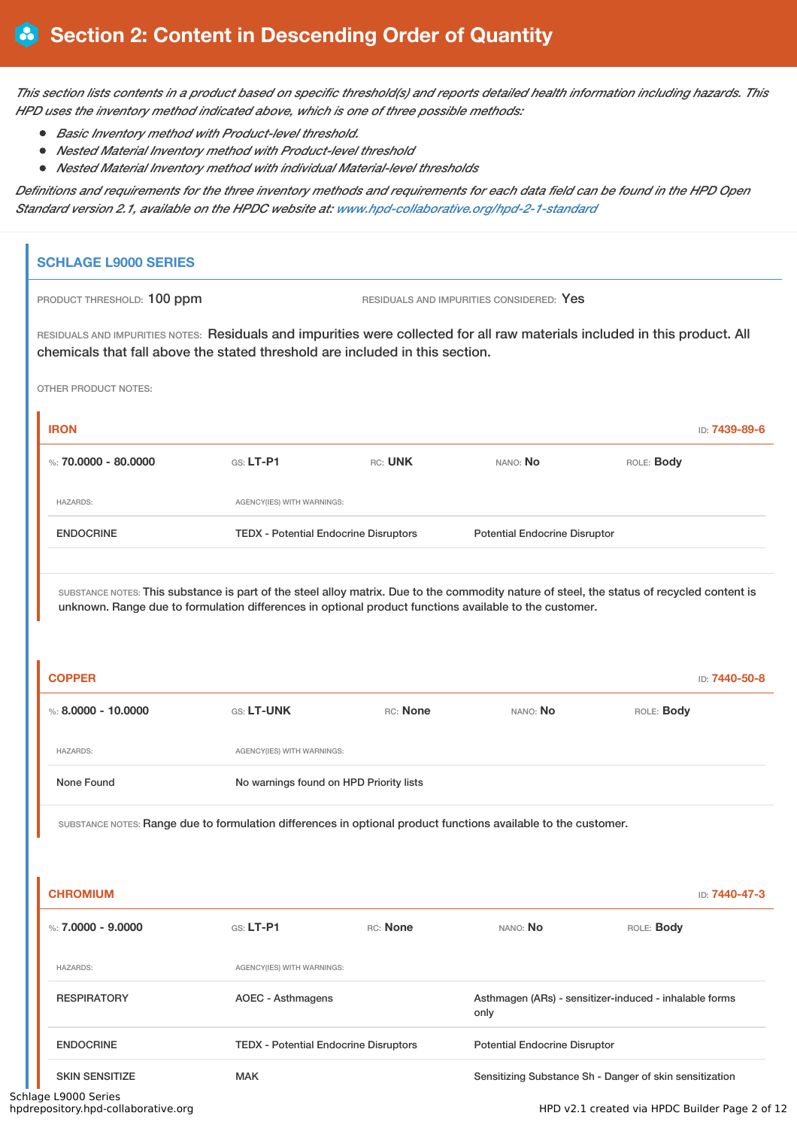This section lists contents in a product based on specific threshold(s) and reports detailed health information including hazards. This *HPD uses the inventory method indicated above, which is one of three possible methods:*

- *Basic Inventory method with Product-level threshold.*
- *Nested Material Inventory method with Product-level threshold*
- *Nested Material Inventory method with individual Material-level thresholds*

Definitions and requirements for the three inventory methods and requirements for each data field can be found in the HPD Open *Standard version 2.1, available on the HPDC website at: www.hpd-collaborative.org/hpd-2-1-standard*

| PRODUCT THRESHOLD: 100 ppm                                                                                                                                                                                  |                                              |          | RESIDUALS AND IMPURITIES CONSIDERED: Yes |                                                        |                                |
|-------------------------------------------------------------------------------------------------------------------------------------------------------------------------------------------------------------|----------------------------------------------|----------|------------------------------------------|--------------------------------------------------------|--------------------------------|
| RESIDUALS AND IMPURITIES NOTES: Residuals and impurities were collected for all raw materials included in this product. All<br>chemicals that fall above the stated threshold are included in this section. |                                              |          |                                          |                                                        |                                |
| <b>OTHER PRODUCT NOTES:</b>                                                                                                                                                                                 |                                              |          |                                          |                                                        |                                |
| <b>IRON</b>                                                                                                                                                                                                 |                                              |          |                                          |                                                        | ID: 7439-89-6                  |
| %: $70,0000 - 80,0000$                                                                                                                                                                                      | $G.S.$ LT-P1                                 | RC: UNK  | NANO: No                                 | ROLE: Body                                             |                                |
| <b>HAZARDS:</b>                                                                                                                                                                                             | AGENCY(IES) WITH WARNINGS:                   |          |                                          |                                                        |                                |
| <b>ENDOCRINE</b>                                                                                                                                                                                            | <b>TEDX - Potential Endocrine Disruptors</b> |          | <b>Potential Endocrine Disruptor</b>     |                                                        |                                |
|                                                                                                                                                                                                             |                                              |          |                                          |                                                        |                                |
| <b>COPPER</b>                                                                                                                                                                                               |                                              |          |                                          |                                                        |                                |
| %: $8.0000 - 10.0000$                                                                                                                                                                                       | GS: LT-UNK                                   | RC: None | NANO: No                                 | ROLE: Body                                             |                                |
| <b>HAZARDS:</b>                                                                                                                                                                                             | AGENCY(IES) WITH WARNINGS:                   |          |                                          |                                                        |                                |
| None Found                                                                                                                                                                                                  | No warnings found on HPD Priority lists      |          |                                          |                                                        |                                |
| SUBSTANCE NOTES: Range due to formulation differences in optional product functions available to the customer.                                                                                              |                                              |          |                                          |                                                        |                                |
|                                                                                                                                                                                                             |                                              |          |                                          |                                                        |                                |
| <b>CHROMIUM</b>                                                                                                                                                                                             |                                              |          |                                          |                                                        |                                |
| %: $7.0000 - 9.0000$                                                                                                                                                                                        | $G.S.$ LT-P1                                 | RC: None | NANO: No                                 | ROLE: Body                                             |                                |
| <b>HAZARDS:</b>                                                                                                                                                                                             | AGENCY(IES) WITH WARNINGS:                   |          |                                          |                                                        |                                |
| <b>RESPIRATORY</b>                                                                                                                                                                                          | <b>AOEC - Asthmagens</b>                     |          | only                                     | Asthmagen (ARs) - sensitizer-induced - inhalable forms |                                |
| <b>ENDOCRINE</b>                                                                                                                                                                                            | <b>TEDX - Potential Endocrine Disruptors</b> |          | <b>Potential Endocrine Disruptor</b>     |                                                        | ID: 7440-50-8<br>ID: 7440-47-3 |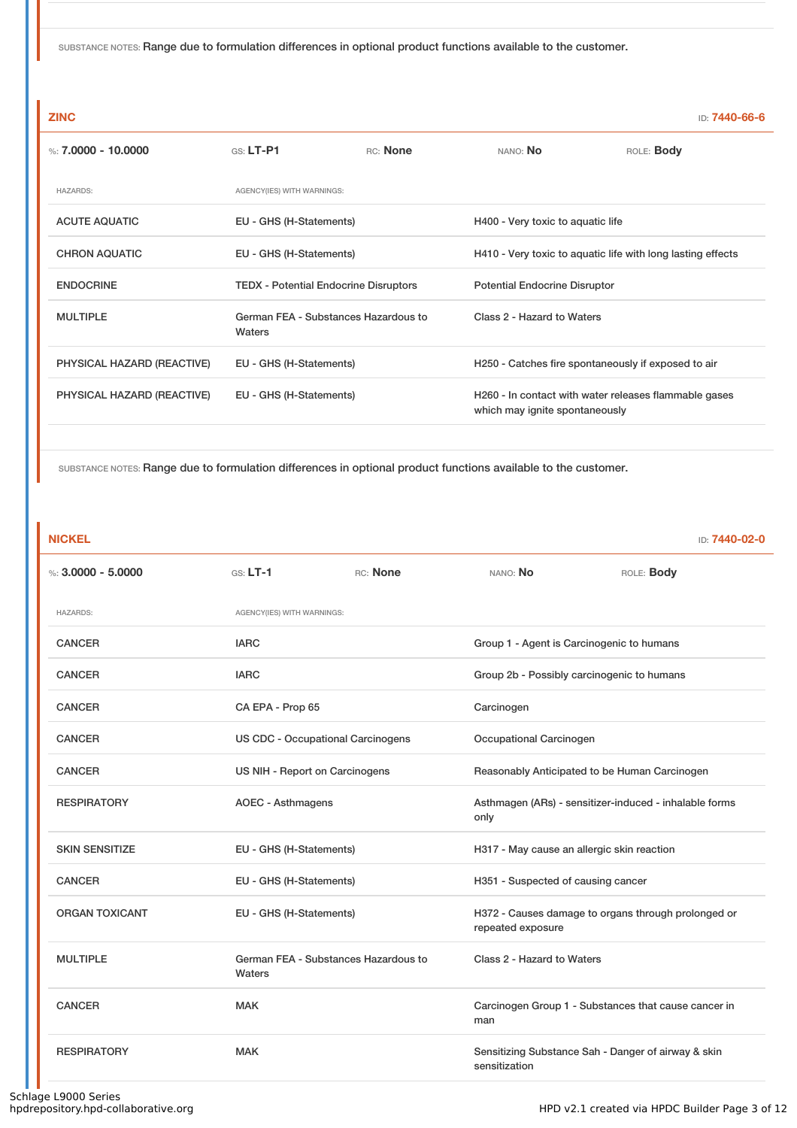| <b>ZINC</b>                |                                                |                                              |                                                             | ID: <b>7440-66-6</b>                                  |  |
|----------------------------|------------------------------------------------|----------------------------------------------|-------------------------------------------------------------|-------------------------------------------------------|--|
| %: $7.0000 - 10.0000$      | $G.S.$ LT-P1                                   | RC: None                                     | NANO: No                                                    | ROLE: Body                                            |  |
| <b>HAZARDS:</b>            | AGENCY(IES) WITH WARNINGS:                     |                                              |                                                             |                                                       |  |
| <b>ACUTE AQUATIC</b>       |                                                | EU - GHS (H-Statements)                      |                                                             | H400 - Very toxic to aquatic life                     |  |
| <b>CHRON AQUATIC</b>       | EU - GHS (H-Statements)                        |                                              | H410 - Very toxic to aquatic life with long lasting effects |                                                       |  |
| <b>ENDOCRINE</b>           |                                                | <b>TEDX - Potential Endocrine Disruptors</b> |                                                             | <b>Potential Endocrine Disruptor</b>                  |  |
| <b>MULTIPLE</b>            | German FEA - Substances Hazardous to<br>Waters |                                              | Class 2 - Hazard to Waters                                  |                                                       |  |
| PHYSICAL HAZARD (REACTIVE) | EU - GHS (H-Statements)                        |                                              | H250 - Catches fire spontaneously if exposed to air         |                                                       |  |
| PHYSICAL HAZARD (REACTIVE) | EU - GHS (H-Statements)                        |                                              | which may ignite spontaneously                              | H260 - In contact with water releases flammable gases |  |
|                            |                                                |                                              |                                                             |                                                       |  |

SUBSTANCE NOTES: Range due to formulation differences in optional product functions available to the customer.

### **NICKEL** ID: **7440-02-0**

| %: $3,0000 - 5,0000$  | $GS: LT-1$                                     | RC: None                       | NANO: No                                   | ROLE: Body                                             |
|-----------------------|------------------------------------------------|--------------------------------|--------------------------------------------|--------------------------------------------------------|
| <b>HAZARDS:</b>       | AGENCY(IES) WITH WARNINGS:                     |                                |                                            |                                                        |
| <b>CANCER</b>         | <b>IARC</b>                                    |                                | Group 1 - Agent is Carcinogenic to humans  |                                                        |
| <b>CANCER</b>         | <b>IARC</b>                                    |                                |                                            | Group 2b - Possibly carcinogenic to humans             |
| <b>CANCER</b>         | CA EPA - Prop 65                               |                                | Carcinogen                                 |                                                        |
| <b>CANCER</b>         | <b>US CDC - Occupational Carcinogens</b>       |                                | Occupational Carcinogen                    |                                                        |
| <b>CANCER</b>         |                                                | US NIH - Report on Carcinogens |                                            | Reasonably Anticipated to be Human Carcinogen          |
| <b>RESPIRATORY</b>    | <b>AOEC - Asthmagens</b>                       |                                |                                            | Asthmagen (ARs) - sensitizer-induced - inhalable forms |
| <b>SKIN SENSITIZE</b> | EU - GHS (H-Statements)                        |                                | H317 - May cause an allergic skin reaction |                                                        |
| <b>CANCER</b>         | EU - GHS (H-Statements)                        |                                | H351 - Suspected of causing cancer         |                                                        |
| <b>ORGAN TOXICANT</b> | EU - GHS (H-Statements)                        |                                | repeated exposure                          | H372 - Causes damage to organs through prolonged or    |
| <b>MULTIPLE</b>       | German FEA - Substances Hazardous to<br>Waters |                                | Class 2 - Hazard to Waters                 |                                                        |
| <b>CANCER</b>         | <b>MAK</b>                                     |                                | man                                        | Carcinogen Group 1 - Substances that cause cancer in   |
| <b>RESPIRATORY</b>    | <b>MAK</b>                                     |                                | sensitization                              | Sensitizing Substance Sah - Danger of airway & skin    |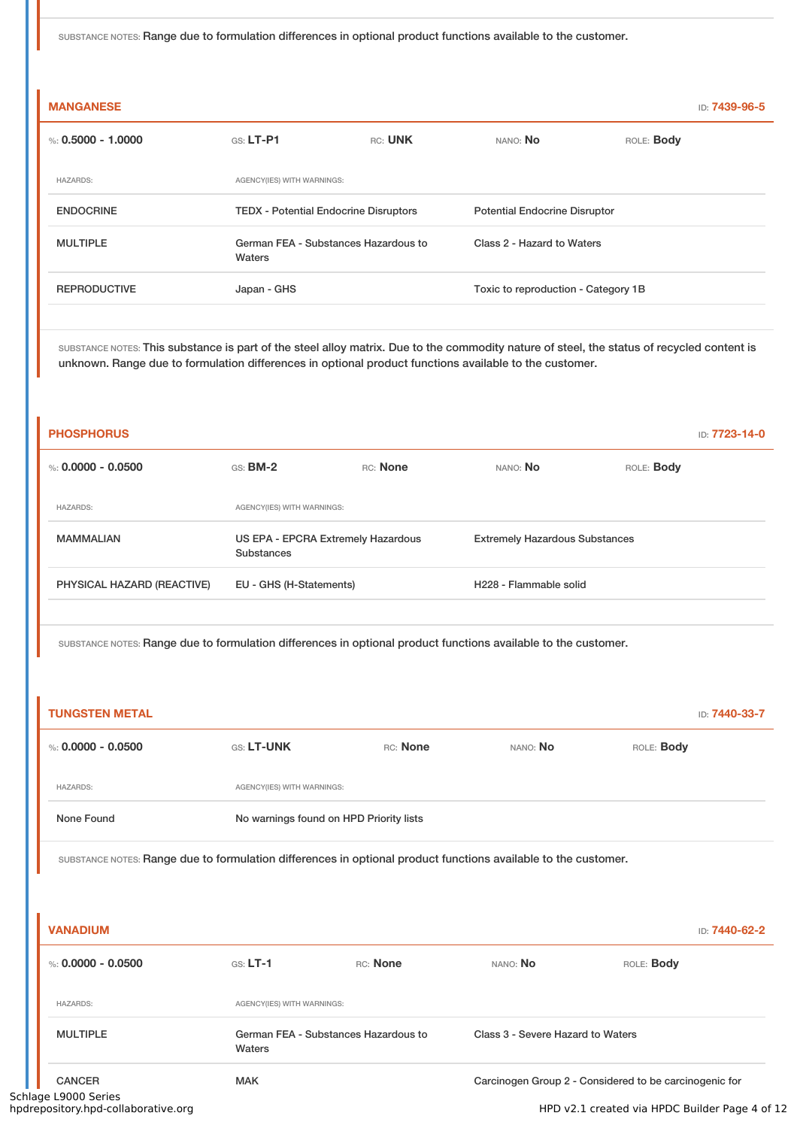| <b>MANGANESE</b>     |                                                |         |                                      |            | ID: <b>7439-96-5</b> |
|----------------------|------------------------------------------------|---------|--------------------------------------|------------|----------------------|
| %: $0.5000 - 1.0000$ | $GS: LT-PI$                                    | RC: UNK | NANO: No                             | ROLE: Body |                      |
| <b>HAZARDS:</b>      | AGENCY(IES) WITH WARNINGS:                     |         |                                      |            |                      |
| <b>ENDOCRINE</b>     | <b>TEDX</b> - Potential Endocrine Disruptors   |         | <b>Potential Endocrine Disruptor</b> |            |                      |
| <b>MULTIPLE</b>      | German FEA - Substances Hazardous to<br>Waters |         | Class 2 - Hazard to Waters           |            |                      |
| <b>REPRODUCTIVE</b>  | Japan - GHS                                    |         | Toxic to reproduction - Category 1B  |            |                      |
|                      |                                                |         |                                      |            |                      |

SUBSTANCE NOTES: This substance is part of the steel alloy matrix. Due to the commodity nature of steel, the status of recycled content is unknown. Range due to formulation differences in optional product functions available to the customer.

| <b>PHOSPHORUS</b>          |                                                  |          |                                       |                   | ID: 7723-14-0 |
|----------------------------|--------------------------------------------------|----------|---------------------------------------|-------------------|---------------|
| %: 0.0000 - 0.0500         | $GS:$ BM-2                                       | RC: None | NANO: No                              | ROLE: <b>Body</b> |               |
| <b>HAZARDS:</b>            | AGENCY(IES) WITH WARNINGS:                       |          |                                       |                   |               |
| <b>MAMMALIAN</b>           | US EPA - EPCRA Extremely Hazardous<br>Substances |          | <b>Extremely Hazardous Substances</b> |                   |               |
| PHYSICAL HAZARD (REACTIVE) | EU - GHS (H-Statements)                          |          | H <sub>228</sub> - Flammable solid    |                   |               |

SUBSTANCE NOTES: Range due to formulation differences in optional product functions available to the customer.

| <b>TUNGSTEN METAL</b> |                                         |          |          | ID: 7440-33-7     |
|-----------------------|-----------------------------------------|----------|----------|-------------------|
| %: 0.0000 - 0.0500    | <b>GS: LT-UNK</b>                       | RC: None | NANO: No | ROLE: <b>Body</b> |
| <b>HAZARDS:</b>       | AGENCY(IES) WITH WARNINGS:              |          |          |                   |
| None Found            | No warnings found on HPD Priority lists |          |          |                   |

SUBSTANCE NOTES: Range due to formulation differences in optional product functions available to the customer.

| <b>VANADIUM</b>                                             |                                                |          |                                   | ID: 7440-62-2                                          |  |
|-------------------------------------------------------------|------------------------------------------------|----------|-----------------------------------|--------------------------------------------------------|--|
| %: $0.0000 - 0.0500$                                        | $GS: LT-1$                                     | RC: None | NANO: No                          | ROLE: <b>Body</b>                                      |  |
| <b>HAZARDS:</b>                                             | AGENCY(IES) WITH WARNINGS:                     |          |                                   |                                                        |  |
| <b>MULTIPLE</b>                                             | German FEA - Substances Hazardous to<br>Waters |          | Class 3 - Severe Hazard to Waters |                                                        |  |
| <b>CANCER</b>                                               | <b>MAK</b>                                     |          |                                   | Carcinogen Group 2 - Considered to be carcinogenic for |  |
| Schlage L9000 Series<br>hpdrepository.hpd-collaborative.org |                                                |          |                                   | HPD v2.1 created via HPDC Builder Page 4 of 12         |  |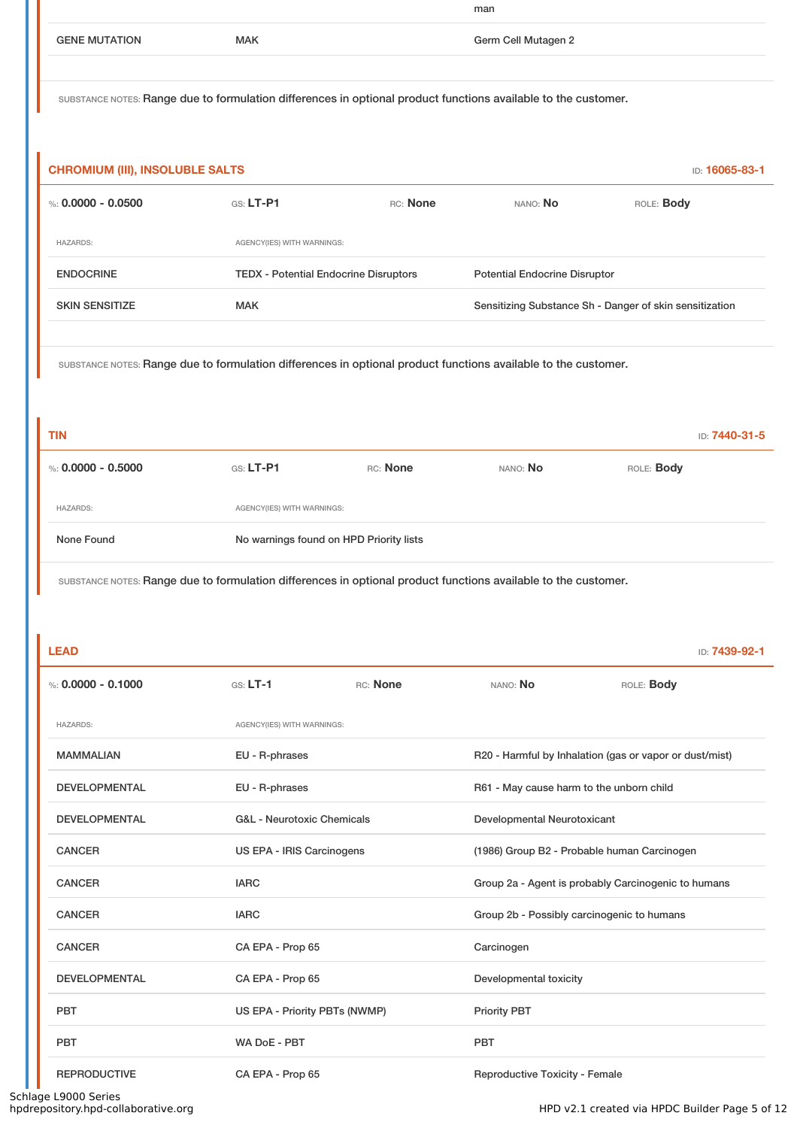|                      |            | man                 |
|----------------------|------------|---------------------|
| <b>GENE MUTATION</b> | <b>MAK</b> | Germ Cell Mutagen 2 |
|                      |            |                     |

| <b>CHROMIUM (III), INSOLUBLE SALTS</b><br>ID: 16065-83-1 |                            |                                              |                                                         |                   |
|----------------------------------------------------------|----------------------------|----------------------------------------------|---------------------------------------------------------|-------------------|
| %: 0.0000 - 0.0500                                       | $G.S.$ LT-P1               | RC: None                                     | NANO: No                                                | ROLE: <b>Body</b> |
| <b>HAZARDS:</b>                                          | AGENCY(IES) WITH WARNINGS: |                                              |                                                         |                   |
| <b>ENDOCRINE</b>                                         |                            | <b>TEDX</b> - Potential Endocrine Disruptors |                                                         |                   |
| <b>SKIN SENSITIZE</b>                                    | <b>MAK</b>                 |                                              | Sensitizing Substance Sh - Danger of skin sensitization |                   |
|                                                          |                            |                                              |                                                         |                   |

SUBSTANCE NOTES: Range due to formulation differences in optional product functions available to the customer.

| TIN                  |                                         |          |          | ID: 7440-31-5 |
|----------------------|-----------------------------------------|----------|----------|---------------|
| %: $0.0000 - 0.5000$ | GS: LT-P1                               | RC: None | NANO: No | ROLE: Body    |
| <b>HAZARDS:</b>      | AGENCY(IES) WITH WARNINGS:              |          |          |               |
| None Found           | No warnings found on HPD Priority lists |          |          |               |

SUBSTANCE NOTES: Range due to formulation differences in optional product functions available to the customer.

| <b>LEAD</b>          |                            |                                       |                                          | ID: 7439-92-1                                           |  |
|----------------------|----------------------------|---------------------------------------|------------------------------------------|---------------------------------------------------------|--|
| %: $0.0000 - 0.1000$ | $GS: LT-1$                 | <b>RC:</b> None                       | NANO: No                                 | ROLE: Body                                              |  |
| <b>HAZARDS:</b>      | AGENCY(IES) WITH WARNINGS: |                                       |                                          |                                                         |  |
| <b>MAMMALIAN</b>     | EU - R-phrases             |                                       |                                          | R20 - Harmful by Inhalation (gas or vapor or dust/mist) |  |
| <b>DEVELOPMENTAL</b> | EU - R-phrases             |                                       | R61 - May cause harm to the unborn child |                                                         |  |
| <b>DEVELOPMENTAL</b> |                            | <b>G&amp;L</b> - Neurotoxic Chemicals |                                          | Developmental Neurotoxicant                             |  |
| <b>CANCER</b>        |                            | US EPA - IRIS Carcinogens             |                                          | (1986) Group B2 - Probable human Carcinogen             |  |
| <b>CANCER</b>        | <b>IARC</b>                |                                       |                                          | Group 2a - Agent is probably Carcinogenic to humans     |  |
| <b>CANCER</b>        | <b>IARC</b>                |                                       |                                          | Group 2b - Possibly carcinogenic to humans              |  |
| <b>CANCER</b>        | CA EPA - Prop 65           |                                       | Carcinogen                               |                                                         |  |
| <b>DEVELOPMENTAL</b> | CA EPA - Prop 65           |                                       |                                          | Developmental toxicity                                  |  |
| PBT                  |                            | US EPA - Priority PBTs (NWMP)         |                                          |                                                         |  |
| PBT                  | WA DoE - PBT               |                                       | <b>PBT</b>                               |                                                         |  |
| <b>REPRODUCTIVE</b>  | CA EPA - Prop 65           |                                       | Reproductive Toxicity - Female           |                                                         |  |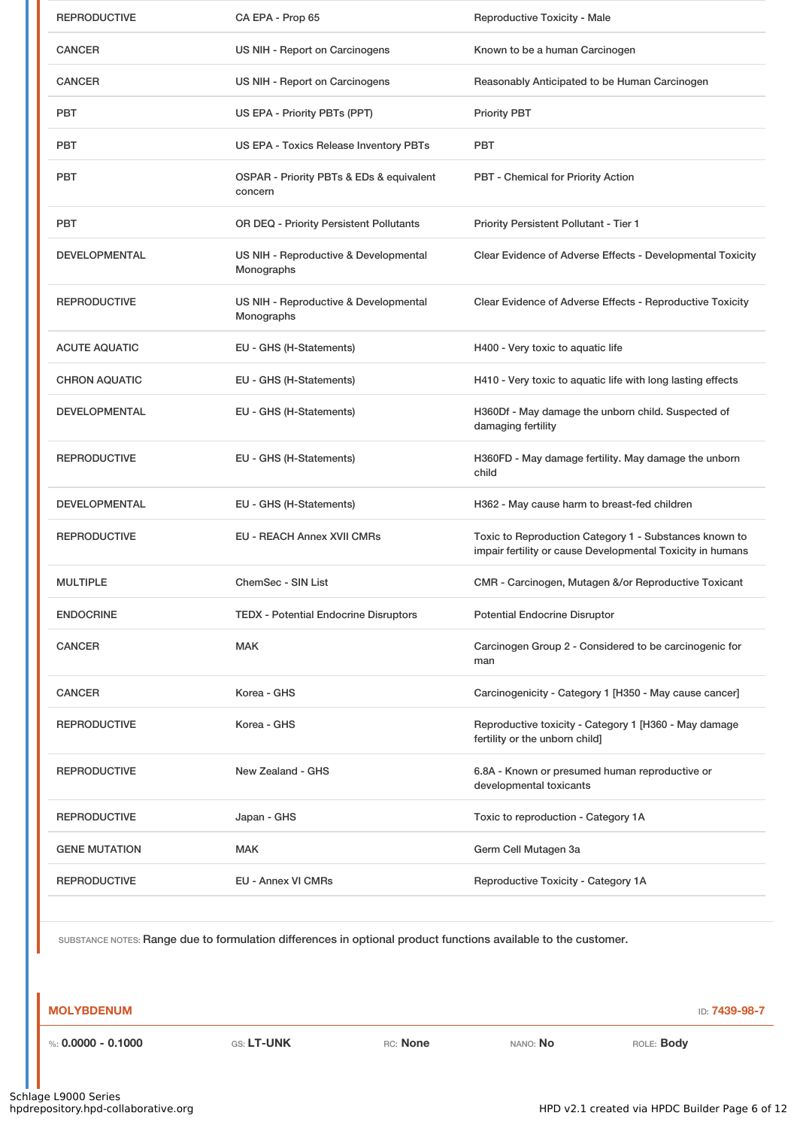| <b>REPRODUCTIVE</b>  | CA EPA - Prop 65                                    | Reproductive Toxicity - Male                                                                                         |
|----------------------|-----------------------------------------------------|----------------------------------------------------------------------------------------------------------------------|
| <b>CANCER</b>        | US NIH - Report on Carcinogens                      | Known to be a human Carcinogen                                                                                       |
| <b>CANCER</b>        | US NIH - Report on Carcinogens                      | Reasonably Anticipated to be Human Carcinogen                                                                        |
| <b>PBT</b>           | US EPA - Priority PBTs (PPT)                        | <b>Priority PBT</b>                                                                                                  |
| <b>PBT</b>           | US EPA - Toxics Release Inventory PBTs              | <b>PBT</b>                                                                                                           |
| <b>PBT</b>           | OSPAR - Priority PBTs & EDs & equivalent<br>concern | <b>PBT</b> - Chemical for Priority Action                                                                            |
| <b>PBT</b>           | OR DEQ - Priority Persistent Pollutants             | Priority Persistent Pollutant - Tier 1                                                                               |
| <b>DEVELOPMENTAL</b> | US NIH - Reproductive & Developmental<br>Monographs | Clear Evidence of Adverse Effects - Developmental Toxicity                                                           |
| <b>REPRODUCTIVE</b>  | US NIH - Reproductive & Developmental<br>Monographs | Clear Evidence of Adverse Effects - Reproductive Toxicity                                                            |
| <b>ACUTE AQUATIC</b> | EU - GHS (H-Statements)                             | H400 - Very toxic to aquatic life                                                                                    |
| <b>CHRON AQUATIC</b> | EU - GHS (H-Statements)                             | H410 - Very toxic to aquatic life with long lasting effects                                                          |
| <b>DEVELOPMENTAL</b> | EU - GHS (H-Statements)                             | H360Df - May damage the unborn child. Suspected of<br>damaging fertility                                             |
| <b>REPRODUCTIVE</b>  | EU - GHS (H-Statements)                             | H360FD - May damage fertility. May damage the unborn<br>child                                                        |
| <b>DEVELOPMENTAL</b> | EU - GHS (H-Statements)                             | H362 - May cause harm to breast-fed children                                                                         |
| <b>REPRODUCTIVE</b>  | EU - REACH Annex XVII CMRs                          | Toxic to Reproduction Category 1 - Substances known to<br>impair fertility or cause Developmental Toxicity in humans |
| <b>MULTIPLE</b>      | ChemSec - SIN List                                  | CMR - Carcinogen, Mutagen &/or Reproductive Toxicant                                                                 |
| <b>ENDOCRINE</b>     | <b>TEDX - Potential Endocrine Disruptors</b>        | <b>Potential Endocrine Disruptor</b>                                                                                 |
| <b>CANCER</b>        | <b>MAK</b>                                          | Carcinogen Group 2 - Considered to be carcinogenic for<br>man                                                        |
| <b>CANCER</b>        | Korea - GHS                                         | Carcinogenicity - Category 1 [H350 - May cause cancer]                                                               |
| <b>REPRODUCTIVE</b>  | Korea - GHS                                         | Reproductive toxicity - Category 1 [H360 - May damage<br>fertility or the unborn child]                              |
| <b>REPRODUCTIVE</b>  | New Zealand - GHS                                   | 6.8A - Known or presumed human reproductive or<br>developmental toxicants                                            |
| <b>REPRODUCTIVE</b>  | Japan - GHS                                         | Toxic to reproduction - Category 1A                                                                                  |
| <b>GENE MUTATION</b> | <b>MAK</b>                                          | Germ Cell Mutagen 3a                                                                                                 |
| <b>REPRODUCTIVE</b>  | <b>EU - Annex VI CMRs</b>                           | Reproductive Toxicity - Category 1A                                                                                  |
|                      |                                                     |                                                                                                                      |

### **MOLYBDENUM** ID: **7439-98-7**

%: **0.0000 - 0.1000** GS: **LT-UNK** RC: **None** NANO: **No** ROLE: **Body**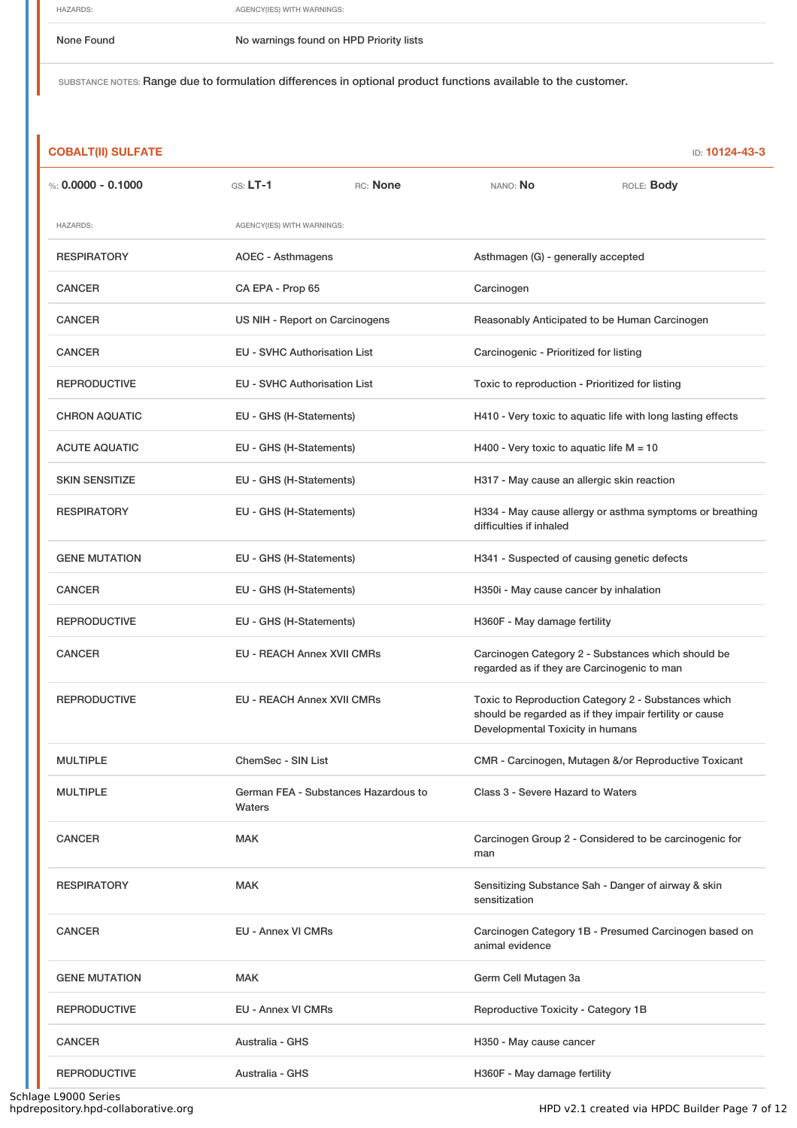HAZARDS: AGENCY(IES) WITH WARNINGS:

None Found Nowarnings found on HPD Priority lists

SUBSTANCE NOTES: Range due to formulation differences in optional product functions available to the customer.

| <b>COBALT(II) SULFATE</b> |                                     |                                      |                                                 | ID: 10124-43-3                                                                                                 |
|---------------------------|-------------------------------------|--------------------------------------|-------------------------------------------------|----------------------------------------------------------------------------------------------------------------|
| %: $0.0000 - 0.1000$      | $GS: LT-1$                          | RC: None                             | NANO: No                                        | ROLE: Body                                                                                                     |
| <b>HAZARDS:</b>           | AGENCY(IES) WITH WARNINGS:          |                                      |                                                 |                                                                                                                |
| <b>RESPIRATORY</b>        | <b>AOEC - Asthmagens</b>            |                                      | Asthmagen (G) - generally accepted              |                                                                                                                |
| <b>CANCER</b>             | CA EPA - Prop 65                    |                                      | Carcinogen                                      |                                                                                                                |
| <b>CANCER</b>             | US NIH - Report on Carcinogens      |                                      |                                                 | Reasonably Anticipated to be Human Carcinogen                                                                  |
| <b>CANCER</b>             | <b>EU - SVHC Authorisation List</b> |                                      | Carcinogenic - Prioritized for listing          |                                                                                                                |
| <b>REPRODUCTIVE</b>       | <b>EU - SVHC Authorisation List</b> |                                      | Toxic to reproduction - Prioritized for listing |                                                                                                                |
| <b>CHRON AQUATIC</b>      | EU - GHS (H-Statements)             |                                      |                                                 | H410 - Very toxic to aquatic life with long lasting effects                                                    |
| <b>ACUTE AQUATIC</b>      | EU - GHS (H-Statements)             |                                      | H400 - Very toxic to aquatic life $M = 10$      |                                                                                                                |
| <b>SKIN SENSITIZE</b>     | EU - GHS (H-Statements)             |                                      | H317 - May cause an allergic skin reaction      |                                                                                                                |
| <b>RESPIRATORY</b>        | EU - GHS (H-Statements)             |                                      | difficulties if inhaled                         | H334 - May cause allergy or asthma symptoms or breathing                                                       |
| <b>GENE MUTATION</b>      | EU - GHS (H-Statements)             |                                      |                                                 | H341 - Suspected of causing genetic defects                                                                    |
| <b>CANCER</b>             | EU - GHS (H-Statements)             |                                      | H350i - May cause cancer by inhalation          |                                                                                                                |
| <b>REPRODUCTIVE</b>       |                                     | EU - GHS (H-Statements)              |                                                 | H360F - May damage fertility                                                                                   |
| <b>CANCER</b>             | EU - REACH Annex XVII CMRs          |                                      | regarded as if they are Carcinogenic to man     | Carcinogen Category 2 - Substances which should be                                                             |
| <b>REPRODUCTIVE</b>       | <b>EU - REACH Annex XVII CMRs</b>   |                                      | Developmental Toxicity in humans                | Toxic to Reproduction Category 2 - Substances which<br>should be regarded as if they impair fertility or cause |
| <b>MULTIPLE</b>           | ChemSec - SIN List                  |                                      |                                                 | CMR - Carcinogen, Mutagen &/or Reproductive Toxicant                                                           |
| <b>MULTIPLE</b>           | Waters                              | German FEA - Substances Hazardous to | Class 3 - Severe Hazard to Waters               |                                                                                                                |
| <b>CANCER</b>             | <b>MAK</b>                          |                                      | man                                             | Carcinogen Group 2 - Considered to be carcinogenic for                                                         |
| <b>RESPIRATORY</b>        | <b>MAK</b>                          |                                      | sensitization                                   | Sensitizing Substance Sah - Danger of airway & skin                                                            |
| <b>CANCER</b>             | <b>EU - Annex VI CMRs</b>           |                                      | animal evidence                                 | Carcinogen Category 1B - Presumed Carcinogen based on                                                          |
| <b>GENE MUTATION</b>      | <b>MAK</b>                          |                                      | Germ Cell Mutagen 3a                            |                                                                                                                |
| <b>REPRODUCTIVE</b>       | <b>EU - Annex VI CMRs</b>           |                                      | Reproductive Toxicity - Category 1B             |                                                                                                                |
| <b>CANCER</b>             | Australia - GHS                     |                                      | H350 - May cause cancer                         |                                                                                                                |
| <b>REPRODUCTIVE</b>       | Australia - GHS                     |                                      | H360F - May damage fertility                    |                                                                                                                |

÷,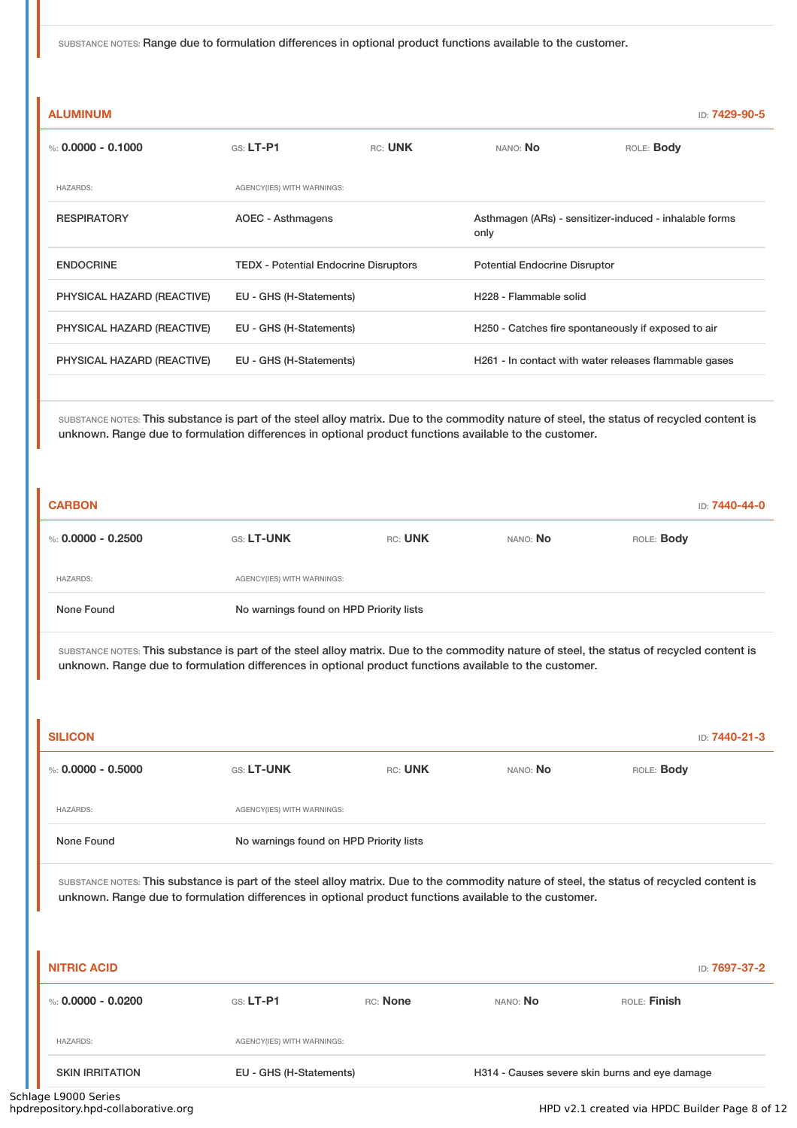| <b>ALUMINUM</b>            |                                              |         |                                      | ID: 7429-90-5                                          |
|----------------------------|----------------------------------------------|---------|--------------------------------------|--------------------------------------------------------|
| %: 0.0000 - 0.1000         | $G.S.$ LT-P1                                 | RC: UNK | NANO: No                             | ROLE: Body                                             |
| <b>HAZARDS:</b>            | AGENCY(IES) WITH WARNINGS:                   |         |                                      |                                                        |
| <b>RESPIRATORY</b>         | AOEC - Asthmagens                            |         | only                                 | Asthmagen (ARs) - sensitizer-induced - inhalable forms |
| <b>ENDOCRINE</b>           | <b>TEDX - Potential Endocrine Disruptors</b> |         | <b>Potential Endocrine Disruptor</b> |                                                        |
| PHYSICAL HAZARD (REACTIVE) | EU - GHS (H-Statements)                      |         | H <sub>228</sub> - Flammable solid   |                                                        |
| PHYSICAL HAZARD (REACTIVE) | EU - GHS (H-Statements)                      |         |                                      | H250 - Catches fire spontaneously if exposed to air    |
| PHYSICAL HAZARD (REACTIVE) | EU - GHS (H-Statements)                      |         |                                      | H261 - In contact with water releases flammable gases  |
|                            |                                              |         |                                      |                                                        |

SUBSTANCE NOTES: This substance is part of the steel alloy matrix. Due to the commodity nature of steel, the status of recycled content is unknown. Range due to formulation differences in optional product functions available to the customer.

| <b>CARBON</b>      |                                         |         |          | ID: <b>7440-44-0</b> |
|--------------------|-----------------------------------------|---------|----------|----------------------|
| %: 0.0000 - 0.2500 | <b>GS: LT-UNK</b>                       | RC: UNK | NANO: No | ROLE: <b>Body</b>    |
| <b>HAZARDS:</b>    | AGENCY(IES) WITH WARNINGS:              |         |          |                      |
| None Found         | No warnings found on HPD Priority lists |         |          |                      |

SUBSTANCE NOTES: This substance is part of the steel alloy matrix. Due to the commodity nature of steel, the status of recycled content is unknown. Range due to formulation differences in optional product functions available to the customer.

| <b>SILICON</b>       |                                         |         |          | ID: 7440-21-3 |  |
|----------------------|-----------------------------------------|---------|----------|---------------|--|
| %: $0.0000 - 0.5000$ | <b>GS: LT-UNK</b>                       | RC: UNK | NANO: No | ROLE: Body    |  |
| <b>HAZARDS:</b>      | AGENCY(IES) WITH WARNINGS:              |         |          |               |  |
| None Found           | No warnings found on HPD Priority lists |         |          |               |  |

SUBSTANCE NOTES: This substance is part of the steel alloy matrix. Due to the commodity nature of steel, the status of recycled content is unknown. Range due to formulation differences in optional product functions available to the customer.

| <b>NITRIC ACID</b>     |                            |          |                 | ID: 7697-37-2                                  |
|------------------------|----------------------------|----------|-----------------|------------------------------------------------|
| %: 0.0000 - 0.0200     | $GS: LT-P1$                | RC: None | NANO: <b>No</b> | ROLE: Finish                                   |
| <b>HAZARDS:</b>        | AGENCY(IES) WITH WARNINGS: |          |                 |                                                |
| <b>SKIN IRRITATION</b> | EU - GHS (H-Statements)    |          |                 | H314 - Causes severe skin burns and eye damage |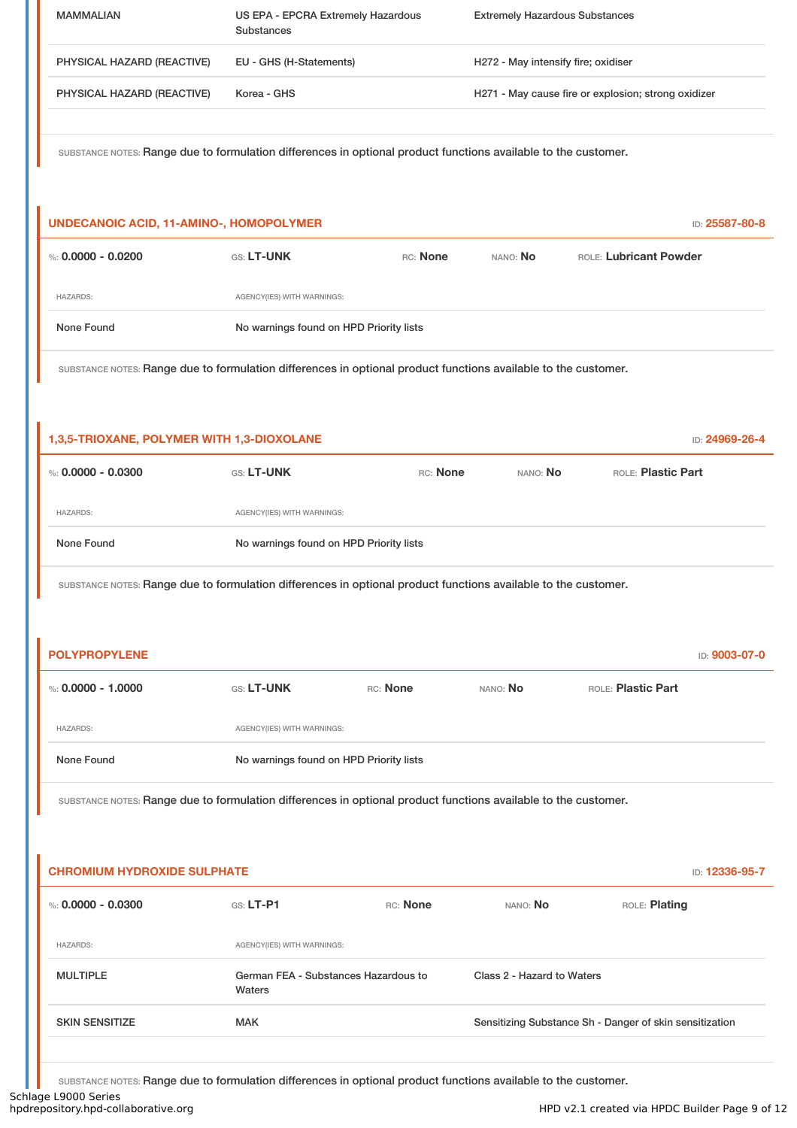| <b>MAMMALIAN</b>           | US EPA - EPCRA Extremely Hazardous<br>Substances | <b>Extremely Hazardous Substances</b>               |
|----------------------------|--------------------------------------------------|-----------------------------------------------------|
| PHYSICAL HAZARD (REACTIVE) | EU - GHS (H-Statements)                          | H272 - May intensify fire; oxidiser                 |
| PHYSICAL HAZARD (REACTIVE) | Korea - GHS                                      | H271 - May cause fire or explosion; strong oxidizer |
|                            |                                                  |                                                     |

| UNDECANOIC ACID, 11-AMINO-, HOMOPOLYMER |                            |                                         | ID: 25587-80-8  |                        |  |
|-----------------------------------------|----------------------------|-----------------------------------------|-----------------|------------------------|--|
| %: 0.0000 - 0.0200                      | <b>GS: LT-UNK</b>          | RC: None                                | nano: <b>No</b> | ROLE: Lubricant Powder |  |
| <b>HAZARDS:</b>                         | AGENCY(IES) WITH WARNINGS: |                                         |                 |                        |  |
| None Found                              |                            | No warnings found on HPD Priority lists |                 |                        |  |

SUBSTANCE NOTES: Range due to formulation differences in optional product functions available to the customer.

| 1,3,5-TRIOXANE, POLYMER WITH 1,3-DIOXOLANE |                                         |          |          | ID: 24969-26-4     |
|--------------------------------------------|-----------------------------------------|----------|----------|--------------------|
| %: 0.0000 - 0.0300                         | <b>GS: LT-UNK</b>                       | RC: None | NANO: No | ROLE: Plastic Part |
| <b>HAZARDS:</b>                            | AGENCY(IES) WITH WARNINGS:              |          |          |                    |
| None Found                                 | No warnings found on HPD Priority lists |          |          |                    |

SUBSTANCE NOTES: Range due to formulation differences in optional product functions available to the customer.

| <b>POLYPROPYLENE</b> |                                         |          |                 |                    | ID: 9003-07-0 |  |
|----------------------|-----------------------------------------|----------|-----------------|--------------------|---------------|--|
| %: $0.0000 - 1.0000$ | <b>GS: LT-UNK</b>                       | RC: None | NANO: <b>No</b> | ROLE: Plastic Part |               |  |
| <b>HAZARDS:</b>      | AGENCY(IES) WITH WARNINGS:              |          |                 |                    |               |  |
| None Found           | No warnings found on HPD Priority lists |          |                 |                    |               |  |
|                      |                                         |          |                 |                    |               |  |

SUBSTANCE NOTES: Range due to formulation differences in optional product functions available to the customer.

| <b>CHROMIUM HYDROXIDE SULPHATE</b> |                                                |          | ID: 12336-95-7                                          |               |
|------------------------------------|------------------------------------------------|----------|---------------------------------------------------------|---------------|
| %: 0.0000 - 0.0300                 | $GS: LT-P1$                                    | RC: None | NANO: No                                                | ROLE: Plating |
| <b>HAZARDS:</b>                    | AGENCY(IES) WITH WARNINGS:                     |          |                                                         |               |
| <b>MULTIPLE</b>                    | German FEA - Substances Hazardous to<br>Waters |          | Class 2 - Hazard to Waters                              |               |
| <b>SKIN SENSITIZE</b>              | <b>MAK</b>                                     |          | Sensitizing Substance Sh - Danger of skin sensitization |               |

SUBSTANCE NOTES: Range due to formulation differences in optional product functions available to the customer.

Schlage L9000 Series<br>hpdrepository.hpd-collaborative.org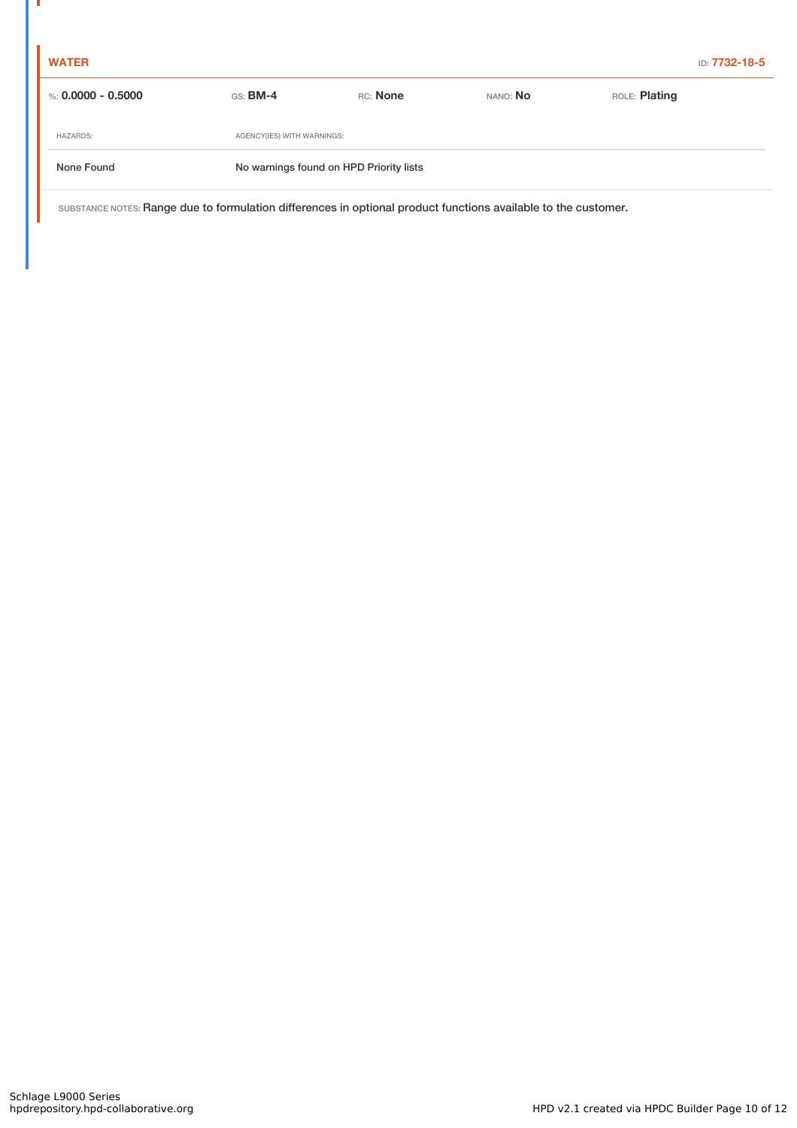п

| %: 0.0000 - 0.5000 | $GS:$ BM-4                              | RC: None | NANO: No | ROLE: <b>Plating</b> |  |
|--------------------|-----------------------------------------|----------|----------|----------------------|--|
| <b>HAZARDS:</b>    | AGENCY(IES) WITH WARNINGS:              |          |          |                      |  |
| None Found         | No warnings found on HPD Priority lists |          |          |                      |  |
|                    |                                         |          |          |                      |  |

SUBSTANCE NOTES: Range due to formulation differences in optional product functions available to the customer.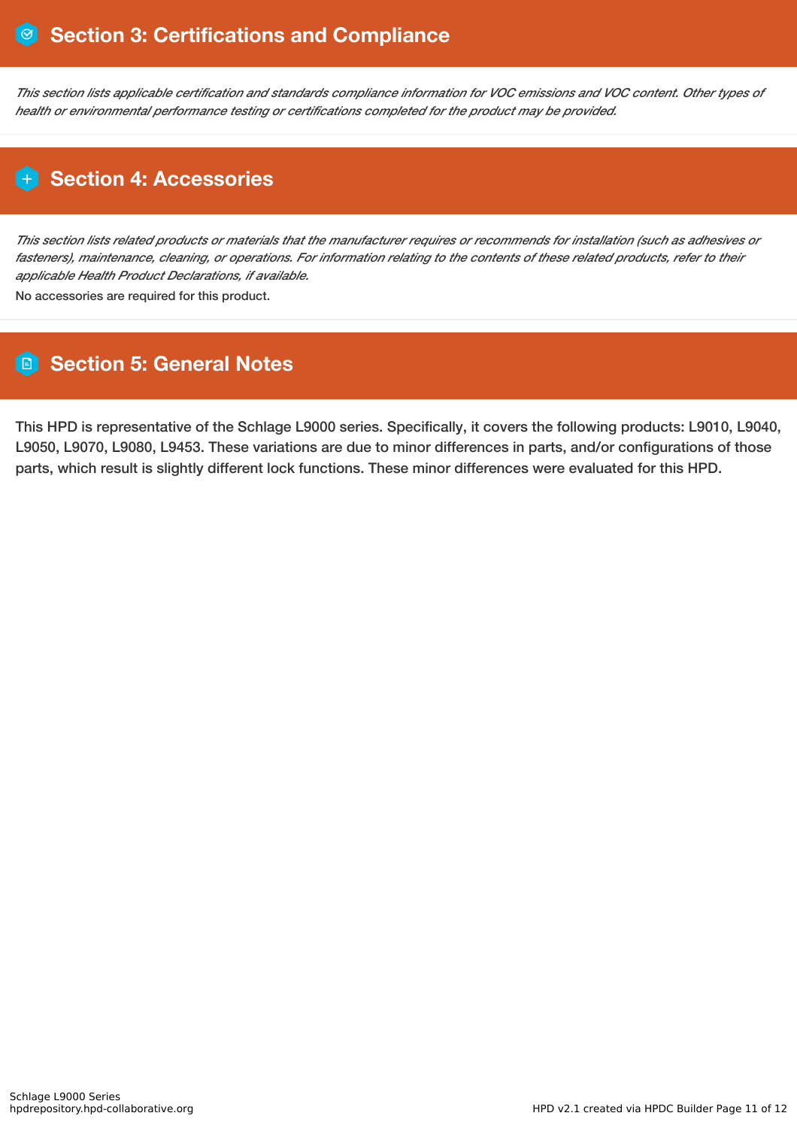This section lists applicable certification and standards compliance information for VOC emissions and VOC content. Other types of *health or environmental performance testing or certifications completed for the product may be provided.*

# **H** Section 4: Accessories

This section lists related products or materials that the manufacturer requires or recommends for installation (such as adhesives or fasteners), maintenance, cleaning, or operations. For information relating to the contents of these related products, refer to their *applicable Health Product Declarations, if available.*

No accessories are required for this product.

# **Section 5: General Notes**

This HPD is representative of the Schlage L9000 series. Specifically, it covers the following products: L9010, L9040, L9050, L9070, L9080, L9453. These variations are due to minor differences in parts, and/or configurations of those parts, which result is slightly different lock functions. These minor differences were evaluated for this HPD.